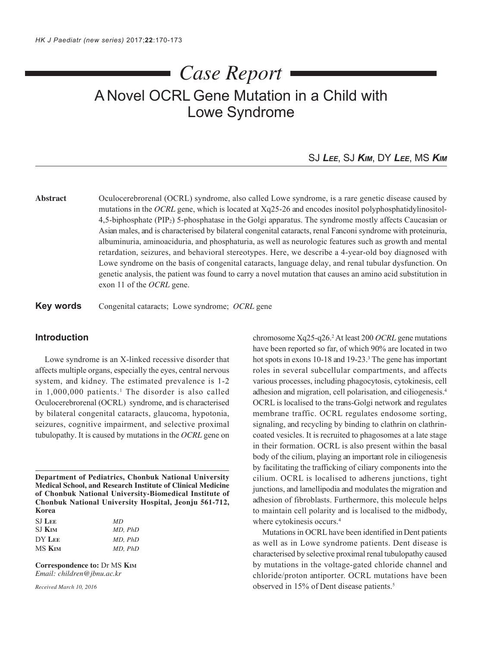# A Novel OCRL Gene Mutation in a Child with Lowe Syndrome *Case Report*

## SJ *LEE*, SJ *KIM*, DY *LEE*, MS *KIM*

**Abstract** Oculocerebrorenal (OCRL) syndrome, also called Lowe syndrome, is a rare genetic disease caused by mutations in the *OCRL* gene, which is located at Xq25-26 and encodes inositol polyphosphatidylinositol-4,5-biphosphate (PIP2) 5-phosphatase in the Golgi apparatus. The syndrome mostly affects Caucasian or Asian males, and is characterised by bilateral congenital cataracts, renal Fanconi syndrome with proteinuria, albuminuria, aminoaciduria, and phosphaturia, as well as neurologic features such as growth and mental retardation, seizures, and behavioral stereotypes. Here, we describe a 4-year-old boy diagnosed with Lowe syndrome on the basis of congenital cataracts, language delay, and renal tubular dysfunction. On genetic analysis, the patient was found to carry a novel mutation that causes an amino acid substitution in exon 11 of the *OCRL* gene.

**Key words** Congenital cataracts; Lowe syndrome; *OCRL* gene

## **Introduction**

Lowe syndrome is an X-linked recessive disorder that affects multiple organs, especially the eyes, central nervous system, and kidney. The estimated prevalence is 1-2 in 1,000,000 patients.<sup>1</sup> The disorder is also called Oculocerebrorenal (OCRL) syndrome, and is characterised by bilateral congenital cataracts, glaucoma, hypotonia, seizures, cognitive impairment, and selective proximal tubulopathy. It is caused by mutations in the *OCRL* gene on

**Department of Pediatrics, Chonbuk National University Medical School, and Research Institute of Clinical Medicine of Chonbuk National University-Biomedical Institute of Chonbuk National University Hospital, Jeonju 561-712, Korea**

| <b>SJ LEE</b> | MD      |
|---------------|---------|
| <b>SJ KIM</b> | MD, PhD |
| DY LEE        | MD. PhD |
| MS Kim        | MD, PhD |

**Correspondence to:** Dr MS **KIM** *Email: children@jbnu.ac.kr*

*Received March 10, 2016*

chromosome Xq25-q26.2 At least 200 *OCRL* gene mutations have been reported so far, of which 90% are located in two hot spots in exons 10-18 and 19-23.<sup>3</sup> The gene has important roles in several subcellular compartments, and affects various processes, including phagocytosis, cytokinesis, cell adhesion and migration, cell polarisation, and ciliogenesis.4 OCRL is localised to the trans-Golgi network and regulates membrane traffic. OCRL regulates endosome sorting, signaling, and recycling by binding to clathrin on clathrincoated vesicles. It is recruited to phagosomes at a late stage in their formation. OCRL is also present within the basal body of the cilium, playing an important role in ciliogenesis by facilitating the trafficking of ciliary components into the cilium. OCRL is localised to adherens junctions, tight junctions, and lamellipodia and modulates the migration and adhesion of fibroblasts. Furthermore, this molecule helps to maintain cell polarity and is localised to the midbody, where cytokinesis occurs.<sup>4</sup>

Mutations in OCRL have been identified in Dent patients as well as in Lowe syndrome patients. Dent disease is characterised by selective proximal renal tubulopathy caused by mutations in the voltage-gated chloride channel and chloride/proton antiporter. OCRL mutations have been observed in 15% of Dent disease patients.<sup>5</sup>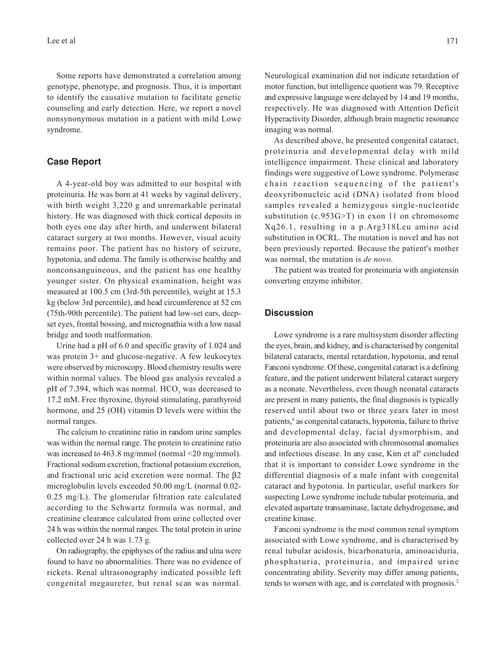Some reports have demonstrated a correlation among genotype, phenotype, and prognosis. Thus, it is important to identify the causative mutation to facilitate genetic counseling and early detection. Here, we report a novel nonsynonymous mutation in a patient with mild Lowe syndrome.

#### **Case Report**

A 4-year-old boy was admitted to our hospital with proteinuria. He was born at 41 weeks by vaginal delivery, with birth weight 3,220 g and unremarkable perinatal history. He was diagnosed with thick cortical deposits in both eyes one day after birth, and underwent bilateral cataract surgery at two months. However, visual acuity remains poor. The patient has no history of seizure, hypotonia, and edema. The family is otherwise healthy and nonconsanguineous, and the patient has one healthy younger sister. On physical examination, height was measured at 100.5 cm (3rd-5th percentile), weight at 15.3 kg (below 3rd percentile), and head circumference at 52 cm (75th-90th percentile). The patient had low-set ears, deepset eyes, frontal bossing, and micrognathia with a low nasal bridge and tooth malformation.

Urine had a pH of 6.0 and specific gravity of 1.024 and was protein 3+ and glucose-negative. A few leukocytes were observed by microscopy. Blood chemistry results were within normal values. The blood gas analysis revealed a pH of 7.394, which was normal.  $HCO<sub>3</sub>$  was decreased to 17.2 mM. Free thyroxine, thyroid stimulating, parathyroid hormone, and 25 (OH) vitamin D levels were within the normal ranges.

The calcium to creatinine ratio in random urine samples was within the normal range. The protein to creatinine ratio was increased to 463.8 mg/mmol (normal <20 mg/mmol). Fractional sodium excretion, fractional potassium excretion, and fractional uric acid excretion were normal. The β2 microglobulin levels exceeded 50.00 mg/L (normal 0.02- 0.25 mg/L). The glomerular filtration rate calculated according to the Schwartz formula was normal, and creatinine clearance calculated from urine collected over 24 h was within the normal ranges. The total protein in urine collected over 24 h was 1.73 g.

On radiography, the epiphyses of the radius and ulna were found to have no abnormalities. There was no evidence of rickets. Renal ultrasonography indicated possible left congenital megaureter, but renal scan was normal.

Neurological examination did not indicate retardation of motor function, but intelligence quotient was 79. Receptive and expressive language were delayed by 14 and 19 months, respectively. He was diagnosed with Attention Deficit Hyperactivity Disorder, although brain magnetic resonance imaging was normal.

As described above, he presented congenital cataract, proteinuria and developmental delay with mild intelligence impairment. These clinical and laboratory findings were suggestive of Lowe syndrome. Polymerase chain reaction sequencing of the patient's deoxyribonucleic acid (DNA) isolated from blood samples revealed a hemizygous single-nucleotide substitution (c.953G>T) in exon 11 on chromosome Xq26.1, resulting in a p.Arg318Leu amino acid substitution in OCRL. The mutation is novel and has not been previously reported. Because the patient's mother was normal, the mutation is *de novo*.

The patient was treated for proteinuria with angiotensin converting enzyme inhibitor.

#### **Discussion**

Lowe syndrome is a rare multisystem disorder affecting the eyes, brain, and kidney, and is characterised by congenital bilateral cataracts, mental retardation, hypotonia, and renal Fanconi syndrome. Of these, congenital cataract is a defining feature, and the patient underwent bilateral cataract surgery as a neonate. Nevertheless, even though neonatal cataracts are present in many patients, the final diagnosis is typically reserved until about two or three years later in most patients,<sup>6</sup> as congenital cataracts, hypotonia, failure to thrive and developmental delay, facial dysmorphism, and proteinuria are also associated with chromosomal anomalies and infectious disease. In any case, Kim et al<sup>6</sup> concluded that it is important to consider Lowe syndrome in the differential diagnosis of a male infant with congenital cataract and hypotonia. In particular, useful markers for suspecting Lowe syndrome include tubular proteinuria, and elevated aspartate transaminase, lactate dehydrogenase, and creatine kinase.

Fanconi syndrome is the most common renal symptom associated with Lowe syndrome, and is characterised by renal tubular acidosis, bicarbonaturia, aminoaciduria, phosphaturia, proteinuria, and impaired urine concentrating ability. Severity may differ among patients, tends to worsen with age, and is correlated with prognosis.<sup>2</sup>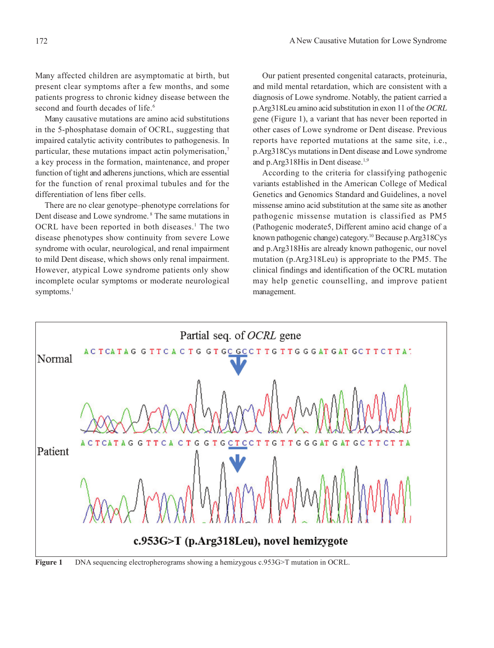Many affected children are asymptomatic at birth, but present clear symptoms after a few months, and some patients progress to chronic kidney disease between the second and fourth decades of life.<sup>6</sup>

Many causative mutations are amino acid substitutions in the 5-phosphatase domain of OCRL, suggesting that impaired catalytic activity contributes to pathogenesis. In particular, these mutations impact actin polymerisation,7 a key process in the formation, maintenance, and proper function of tight and adherens junctions, which are essential for the function of renal proximal tubules and for the differentiation of lens fiber cells.

There are no clear genotype–phenotype correlations for Dent disease and Lowe syndrome. 8 The same mutations in OCRL have been reported in both diseases.<sup>1</sup> The two disease phenotypes show continuity from severe Lowe syndrome with ocular, neurological, and renal impairment to mild Dent disease, which shows only renal impairment. However, atypical Lowe syndrome patients only show incomplete ocular symptoms or moderate neurological symptoms.<sup>1</sup>

Our patient presented congenital cataracts, proteinuria, and mild mental retardation, which are consistent with a diagnosis of Lowe syndrome. Notably, the patient carried a p.Arg318Leu amino acid substitution in exon 11 of the *OCRL* gene (Figure 1), a variant that has never been reported in other cases of Lowe syndrome or Dent disease. Previous reports have reported mutations at the same site, i.e., p.Arg318Cys mutations in Dent disease and Lowe syndrome and p.Arg318His in Dent disease.<sup>1,9</sup>

According to the criteria for classifying pathogenic variants established in the American College of Medical Genetics and Genomics Standard and Guidelines, a novel missense amino acid substitution at the same site as another pathogenic missense mutation is classified as PM5 (Pathogenic moderate5, Different amino acid change of a known pathogenic change) category.<sup>10</sup> Because p.Arg318Cys and p.Arg318His are already known pathogenic, our novel mutation (p.Arg318Leu) is appropriate to the PM5. The clinical findings and identification of the OCRL mutation may help genetic counselling, and improve patient management.



**Figure 1** DNA sequencing electropherograms showing a hemizygous c.953G>T mutation in OCRL.